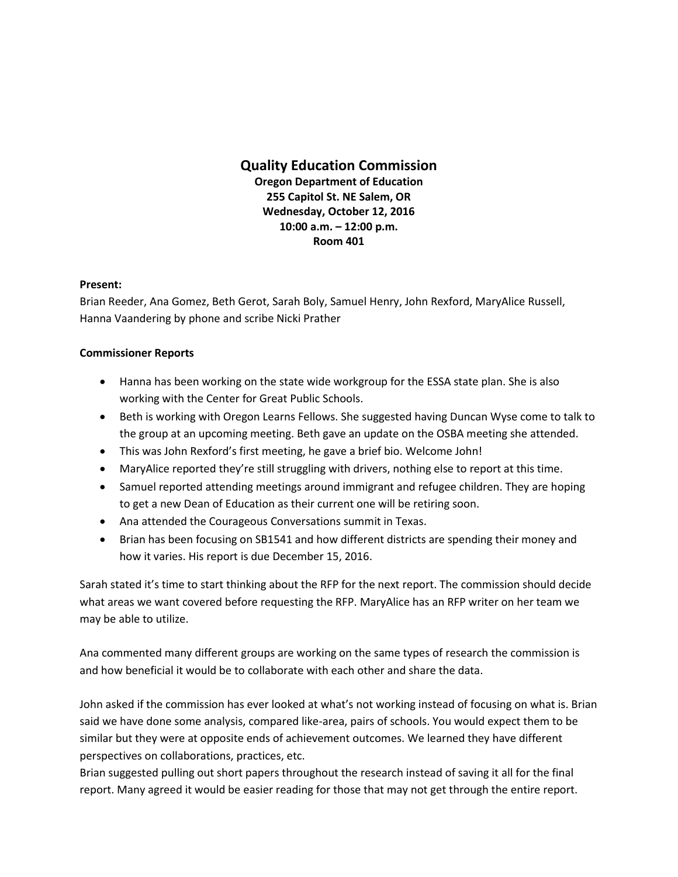## **Quality Education Commission**

**Oregon Department of Education 255 Capitol St. NE Salem, OR Wednesday, October 12, 2016 10:00 a.m. – 12:00 p.m. Room 401**

## **Present:**

Brian Reeder, Ana Gomez, Beth Gerot, Sarah Boly, Samuel Henry, John Rexford, MaryAlice Russell, Hanna Vaandering by phone and scribe Nicki Prather

## **Commissioner Reports**

- Hanna has been working on the state wide workgroup for the ESSA state plan. She is also working with the Center for Great Public Schools.
- Beth is working with Oregon Learns Fellows. She suggested having Duncan Wyse come to talk to the group at an upcoming meeting. Beth gave an update on the OSBA meeting she attended.
- This was John Rexford's first meeting, he gave a brief bio. Welcome John!
- MaryAlice reported they're still struggling with drivers, nothing else to report at this time.
- Samuel reported attending meetings around immigrant and refugee children. They are hoping to get a new Dean of Education as their current one will be retiring soon.
- Ana attended the Courageous Conversations summit in Texas.
- Brian has been focusing on SB1541 and how different districts are spending their money and how it varies. His report is due December 15, 2016.

Sarah stated it's time to start thinking about the RFP for the next report. The commission should decide what areas we want covered before requesting the RFP. MaryAlice has an RFP writer on her team we may be able to utilize.

Ana commented many different groups are working on the same types of research the commission is and how beneficial it would be to collaborate with each other and share the data.

John asked if the commission has ever looked at what's not working instead of focusing on what is. Brian said we have done some analysis, compared like-area, pairs of schools. You would expect them to be similar but they were at opposite ends of achievement outcomes. We learned they have different perspectives on collaborations, practices, etc.

Brian suggested pulling out short papers throughout the research instead of saving it all for the final report. Many agreed it would be easier reading for those that may not get through the entire report.